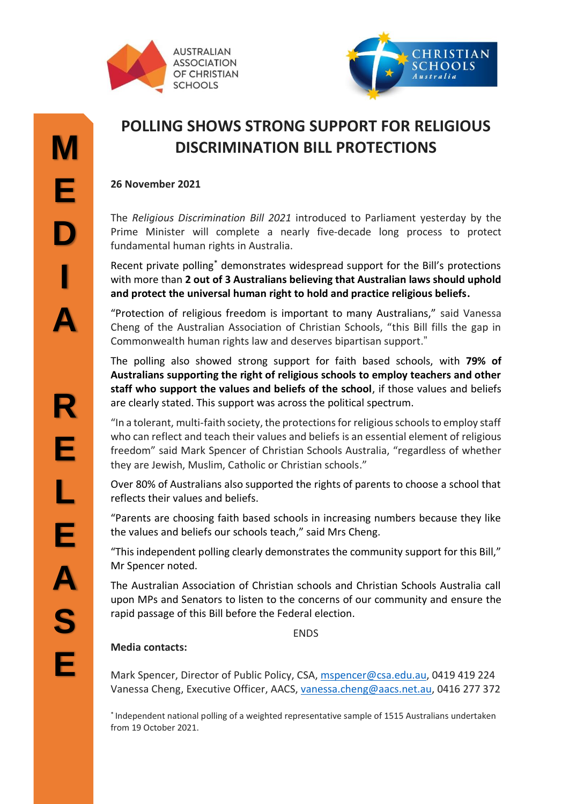



## **POLLING SHOWS STRONG SUPPORT FOR RELIGIOUS DISCRIMINATION BILL PROTECTIONS**

## **26 November 2021**

The *Religious Discrimination Bill 2021* introduced to Parliament yesterday by the Prime Minister will complete a nearly five-decade long process to protect fundamental human rights in Australia.

Recent private polling\* demonstrates widespread support for the Bill's protections with more than **2 out of 3 Australians believing that Australian laws should uphold and protect the universal human right to hold and practice religious beliefs.**

"Protection of religious freedom is important to many Australians," said Vanessa Cheng of the Australian Association of Christian Schools, "this Bill fills the gap in Commonwealth human rights law and deserves bipartisan support."

The polling also showed strong support for faith based schools, with **79% of Australians supporting the right of religious schools to employ teachers and other staff who support the values and beliefs of the school**, if those values and beliefs are clearly stated. This support was across the political spectrum.

"In a tolerant, multi-faith society, the protections for religious schools to employ staff who can reflect and teach their values and beliefs is an essential element of religious freedom" said Mark Spencer of Christian Schools Australia, "regardless of whether they are Jewish, Muslim, Catholic or Christian schools."

Over 80% of Australians also supported the rights of parents to choose a school that reflects their values and beliefs.

"Parents are choosing faith based schools in increasing numbers because they like the values and beliefs our schools teach," said Mrs Cheng.

"This independent polling clearly demonstrates the community support for this Bill," Mr Spencer noted.

The Australian Association of Christian schools and Christian Schools Australia call upon MPs and Senators to listen to the concerns of our community and ensure the rapid passage of this Bill before the Federal election.

**FNDS** 

## **Media contacts:**

Mark Spencer, Director of Public Policy, CSA, [mspencer@csa.edu.au,](mailto:mspencer@csa.edu.au) 0419 419 224 Vanessa Cheng, Executive Officer, AACS, [vanessa.cheng@aacs.net.au,](mailto:vanessa.cheng@aacs.net.au) 0416 277 372

\* Independent national polling of a weighted representative sample of 1515 Australians undertaken from 19 October 2021.